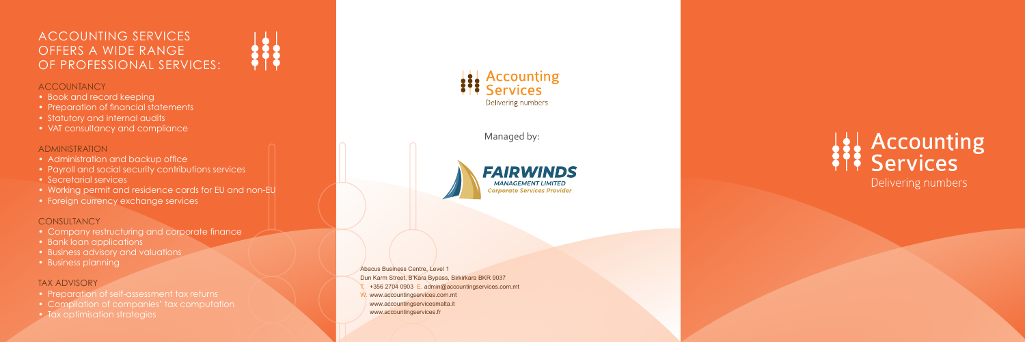## ACCOUNTING SERVICES OFFERS A WIDE RANGE OF PROFESSIONAL SERVICES:

#### **ACCOUNTANCY**

- Book and record keeping
- Preparation of financial statements
- Statutory and internal audits
- VAT consultancy and compliance

#### ADMINISTRATION

- Administration and backup office
- Payroll and social security contributions services
- Secretarial services
- Working permit and residence cards for EU and non-EU
- Foreign currency exchange services

#### **CONSULTANCY**

- Preparation of self-assessment tax returns
- Compilation of companies' tax computation
- Tax optimisation strategies



- Company restructuring and corporate finance
- Bank loan applications
- Business advisory and valuations
- Business planning

#### TAX ADVISORY

Abacus Business Centre, Level 1 Dun Karm Street, B'Kara Bypass, Birkirkara BKR 9037 T. +356 2704 0903 E. admin@accountingservices.com.mt W. www.accountingservices.com.mt www.accountingservicesmalta.it www.accountingservices.fr

# **Accounting**<br>**Services** Delivering numbers

### Managed by: